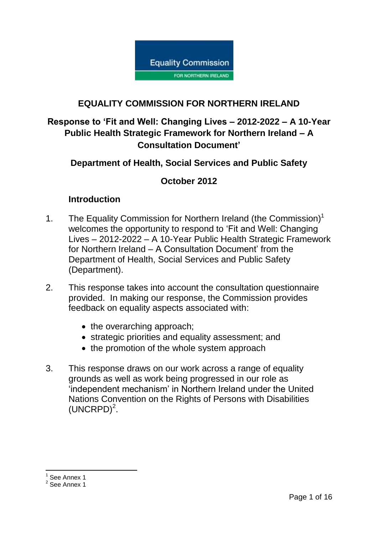

## **EQUALITY COMMISSION FOR NORTHERN IRELAND**

# **Response to 'Fit and Well: Changing Lives – 2012-2022 – A 10-Year Public Health Strategic Framework for Northern Ireland – A Consultation Document'**

## **Department of Health, Social Services and Public Safety**

## **October 2012**

#### **Introduction**

- 1. The Equality Commission for Northern Ireland (the Commission)<sup>1</sup> welcomes the opportunity to respond to "Fit and Well: Changing Lives – 2012-2022 – A 10-Year Public Health Strategic Framework for Northern Ireland – A Consultation Document' from the Department of Health, Social Services and Public Safety (Department).
- 2. This response takes into account the consultation questionnaire provided. In making our response, the Commission provides feedback on equality aspects associated with:
	- $\bullet$  the overarching approach;
	- strategic priorities and equality assessment; and
	- the promotion of the whole system approach
- 3. This response draws on our work across a range of equality grounds as well as work being progressed in our role as "independent mechanism" in Northern Ireland under the United Nations Convention on the Rights of Persons with Disabilities  $(UNCRPD)^2$ .

<sup>———————&</sup>lt;br><sup>1</sup> See Annex 1<br><sup>2</sup> See Annex 1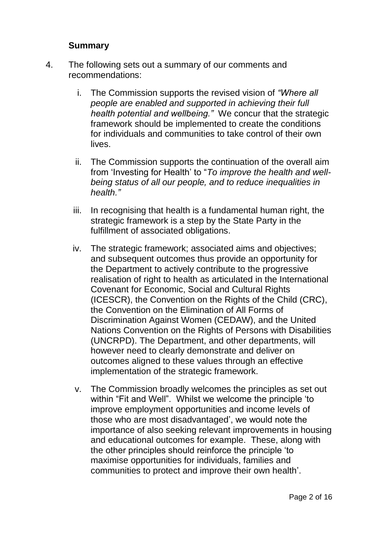### **Summary**

- 4. The following sets out a summary of our comments and recommendations:
	- i. The Commission supports the revised vision of *"Where all people are enabled and supported in achieving their full health potential and wellbeing."* We concur that the strategic framework should be implemented to create the conditions for individuals and communities to take control of their own lives.
	- ii. The Commission supports the continuation of the overall aim from "Investing for Health" to "*To improve the health and wellbeing status of all our people, and to reduce inequalities in health."*
	- iii. In recognising that health is a fundamental human right, the strategic framework is a step by the State Party in the fulfillment of associated obligations.
	- iv. The strategic framework; associated aims and objectives; and subsequent outcomes thus provide an opportunity for the Department to actively contribute to the progressive realisation of right to health as articulated in the International Covenant for Economic, Social and Cultural Rights (ICESCR), the Convention on the Rights of the Child (CRC), the Convention on the Elimination of All Forms of Discrimination Against Women (CEDAW), and the United Nations Convention on the Rights of Persons with Disabilities (UNCRPD). The Department, and other departments, will however need to clearly demonstrate and deliver on outcomes aligned to these values through an effective implementation of the strategic framework.
	- v. The Commission broadly welcomes the principles as set out within "Fit and Well". Whilst we welcome the principle "to improve employment opportunities and income levels of those who are most disadvantaged", we would note the importance of also seeking relevant improvements in housing and educational outcomes for example. These, along with the other principles should reinforce the principle "to maximise opportunities for individuals, families and communities to protect and improve their own health".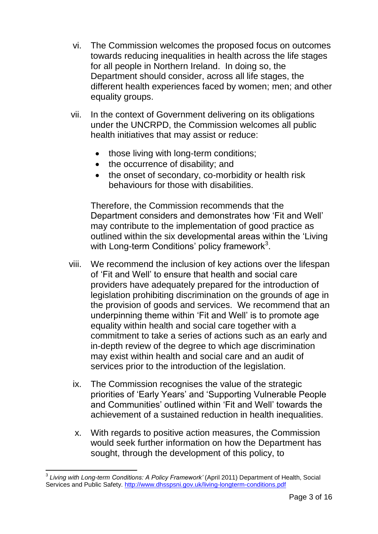- vi. The Commission welcomes the proposed focus on outcomes towards reducing inequalities in health across the life stages for all people in Northern Ireland. In doing so, the Department should consider, across all life stages, the different health experiences faced by women; men; and other equality groups.
- vii. In the context of Government delivering on its obligations under the UNCRPD, the Commission welcomes all public health initiatives that may assist or reduce:
	- those living with long-term conditions;
	- the occurrence of disability; and
	- the onset of secondary, co-morbidity or health risk behaviours for those with disabilities.

Therefore, the Commission recommends that the Department considers and demonstrates how "Fit and Well" may contribute to the implementation of good practice as outlined within the six developmental areas within the "Living with Long-term Conditions' policy framework<sup>3</sup>.

- viii. We recommend the inclusion of key actions over the lifespan of "Fit and Well" to ensure that health and social care providers have adequately prepared for the introduction of legislation prohibiting discrimination on the grounds of age in the provision of goods and services. We recommend that an underpinning theme within "Fit and Well" is to promote age equality within health and social care together with a commitment to take a series of actions such as an early and in-depth review of the degree to which age discrimination may exist within health and social care and an audit of services prior to the introduction of the legislation.
	- ix. The Commission recognises the value of the strategic priorities of "Early Years" and "Supporting Vulnerable People and Communities' outlined within 'Fit and Well' towards the achievement of a sustained reduction in health inequalities.
	- x. With regards to positive action measures, the Commission would seek further information on how the Department has sought, through the development of this policy, to

**<sup>.</sup>** 3 *Living with Long-term Conditions: A Policy Framework"* (April 2011) Department of Health, Social Services and Public Safety.<http://www.dhsspsni.gov.uk/living-longterm-conditions.pdf>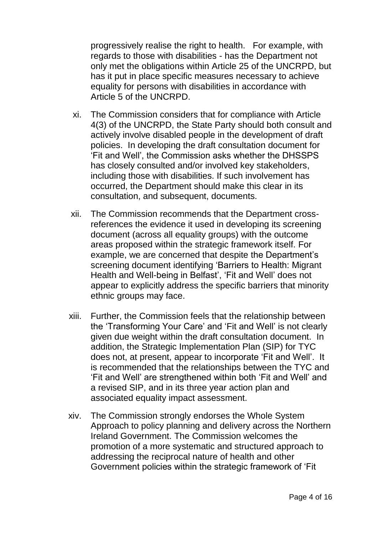progressively realise the right to health. For example, with regards to those with disabilities - has the Department not only met the obligations within Article 25 of the UNCRPD, but has it put in place specific measures necessary to achieve equality for persons with disabilities in accordance with Article 5 of the UNCRPD.

- xi. The Commission considers that for compliance with Article 4(3) of the UNCRPD, the State Party should both consult and actively involve disabled people in the development of draft policies. In developing the draft consultation document for "Fit and Well", the Commission asks whether the DHSSPS has closely consulted and/or involved key stakeholders, including those with disabilities. If such involvement has occurred, the Department should make this clear in its consultation, and subsequent, documents.
- xii. The Commission recommends that the Department crossreferences the evidence it used in developing its screening document (across all equality groups) with the outcome areas proposed within the strategic framework itself. For example, we are concerned that despite the Department's screening document identifying "Barriers to Health: Migrant Health and Well-being in Belfast', 'Fit and Well' does not appear to explicitly address the specific barriers that minority ethnic groups may face.
- xiii. Further, the Commission feels that the relationship between the "Transforming Your Care" and "Fit and Well" is not clearly given due weight within the draft consultation document. In addition, the Strategic Implementation Plan (SIP) for TYC does not, at present, appear to incorporate "Fit and Well". It is recommended that the relationships between the TYC and 'Fit and Well' are strengthened within both 'Fit and Well' and a revised SIP, and in its three year action plan and associated equality impact assessment.
- xiv. The Commission strongly endorses the Whole System Approach to policy planning and delivery across the Northern Ireland Government. The Commission welcomes the promotion of a more systematic and structured approach to addressing the reciprocal nature of health and other Government policies within the strategic framework of "Fit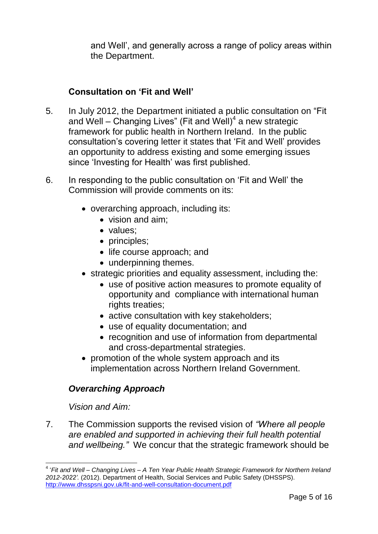and Well", and generally across a range of policy areas within the Department.

## **Consultation on 'Fit and Well'**

- 5. In July 2012, the Department initiated a public consultation on "Fit and Well – Changing Lives" (Fit and Well) $4$  a new strategic framework for public health in Northern Ireland. In the public consultation"s covering letter it states that "Fit and Well" provides an opportunity to address existing and some emerging issues since 'Investing for Health' was first published.
- 6. In responding to the public consultation on "Fit and Well" the Commission will provide comments on its:
	- overarching approach, including its:
		- vision and aim;
		- values:
		- principles:
		- life course approach; and
		- underpinning themes.
	- strategic priorities and equality assessment, including the:
		- use of positive action measures to promote equality of opportunity and compliance with international human rights treaties;
		- active consultation with key stakeholders;
		- use of equality documentation; and
		- recognition and use of information from departmental and cross-departmental strategies.
	- promotion of the whole system approach and its implementation across Northern Ireland Government.

## *Overarching Approach*

#### *Vision and Aim:*

7. The Commission supports the revised vision of *"Where all people are enabled and supported in achieving their full health potential and wellbeing."* We concur that the strategic framework should be

 4 "*Fit and Well – Changing Lives – A Ten Year Public Health Strategic Framework for Northern Ireland 2012-2022".* (2012). Department of Health, Social Services and Public Safety (DHSSPS). <http://www.dhsspsni.gov.uk/fit-and-well-consultation-document.pdf>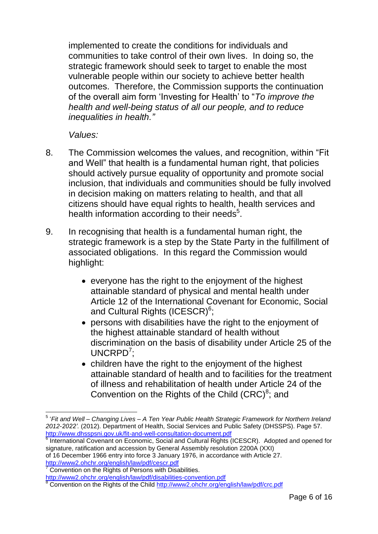implemented to create the conditions for individuals and communities to take control of their own lives. In doing so, the strategic framework should seek to target to enable the most vulnerable people within our society to achieve better health outcomes. Therefore, the Commission supports the continuation of the overall aim form "Investing for Health" to "*To improve the health and well-being status of all our people, and to reduce inequalities in health."*

*Values:*

- 8. The Commission welcomes the values, and recognition, within "Fit and Well" that health is a fundamental human right, that policies should actively pursue equality of opportunity and promote social inclusion, that individuals and communities should be fully involved in decision making on matters relating to health, and that all citizens should have equal rights to health, health services and health information according to their needs<sup>5</sup>.
- 9. In recognising that health is a fundamental human right, the strategic framework is a step by the State Party in the fulfillment of associated obligations. In this regard the Commission would highlight:
	- everyone has the right to the enjoyment of the highest attainable standard of physical and mental health under Article 12 of the International Covenant for Economic, Social and Cultural Rights (ICESCR) $<sup>6</sup>$ ;</sup>
	- persons with disabilities have the right to the enjoyment of the highest attainable standard of health without discrimination on the basis of disability under Article 25 of the UNCRPD<sup>7</sup>;
	- children have the right to the enjoyment of the highest attainable standard of health and to facilities for the treatment of illness and rehabilitation of health under Article 24 of the Convention on the Rights of the Child  $(CRC)^8$ ; and

<sup>6</sup> International Covenant on Economic, Social and Cultural Rights (ICESCR). Adopted and opened for signature, ratification and accession by General Assembly resolution 2200A (XXI)

of 16 December 1966 entry into force 3 January 1976, in accordance with Article 27. <http://www2.ohchr.org/english/law/pdf/cescr.pdf>

<sup>7</sup> Convention on the Rights of Persons with Disabilities.

**<sup>.</sup>** 5 "*Fit and Well – Changing Lives – A Ten Year Public Health Strategic Framework for Northern Ireland 2012-2022".* (2012). Department of Health, Social Services and Public Safety (DHSSPS). Page 57. <http://www.dhsspsni.gov.uk/fit-and-well-consultation-document.pdf>

http://www2.ohchr.org/english/law/pdf/disabilities-convention.pdf <sup>8</sup> Convention on the Rights of the Child<http://www2.ohchr.org/english/law/pdf/crc.pdf>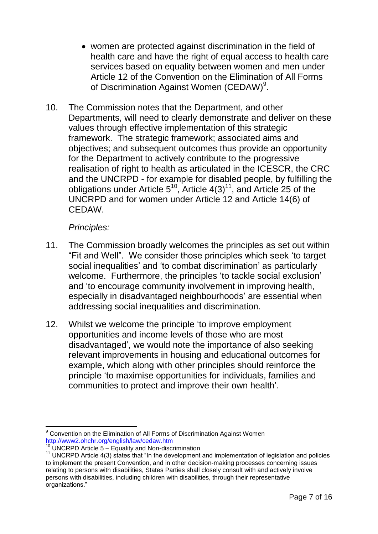- women are protected against discrimination in the field of health care and have the right of equal access to health care services based on equality between women and men under Article 12 of the Convention on the Elimination of All Forms of Discrimination Against Women (CEDAW)<sup>9</sup>.
- 10. The Commission notes that the Department, and other Departments, will need to clearly demonstrate and deliver on these values through effective implementation of this strategic framework. The strategic framework; associated aims and objectives; and subsequent outcomes thus provide an opportunity for the Department to actively contribute to the progressive realisation of right to health as articulated in the ICESCR, the CRC and the UNCRPD - for example for disabled people, by fulfilling the obligations under Article  $5^{10}$ , Article  $4(3)^{11}$ , and Article 25 of the UNCRPD and for women under Article 12 and Article 14(6) of CEDAW.

### *Principles:*

- 11. The Commission broadly welcomes the principles as set out within "Fit and Well". We consider those principles which seek "to target social inequalities' and 'to combat discrimination' as particularly welcome. Furthermore, the principles 'to tackle social exclusion' and "to encourage community involvement in improving health, especially in disadvantaged neighbourhoods" are essential when addressing social inequalities and discrimination.
- 12. Whilst we welcome the principle "to improve employment opportunities and income levels of those who are most disadvantaged", we would note the importance of also seeking relevant improvements in housing and educational outcomes for example, which along with other principles should reinforce the principle "to maximise opportunities for individuals, families and communities to protect and improve their own health".

**<sup>.</sup>** <sup>9</sup> Convention on the Elimination of All Forms of Discrimination Against Women <http://www2.ohchr.org/english/law/cedaw.htm>

 $10$  UNCRPD Article 5 – Equality and Non-discrimination

 $11$  UNCRPD Article 4(3) states that "In the development and implementation of legislation and policies to implement the present Convention, and in other decision-making processes concerning issues relating to persons with disabilities, States Parties shall closely consult with and actively involve persons with disabilities, including children with disabilities, through their representative organizations."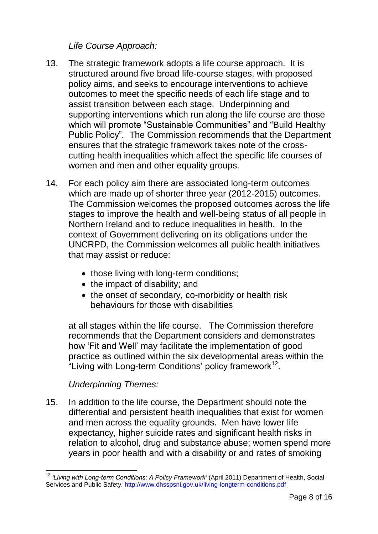*Life Course Approach:*

- 13. The strategic framework adopts a life course approach. It is structured around five broad life-course stages, with proposed policy aims, and seeks to encourage interventions to achieve outcomes to meet the specific needs of each life stage and to assist transition between each stage. Underpinning and supporting interventions which run along the life course are those which will promote "Sustainable Communities" and "Build Healthy Public Policy"*.* The Commission recommends that the Department ensures that the strategic framework takes note of the crosscutting health inequalities which affect the specific life courses of women and men and other equality groups.
- 14. For each policy aim there are associated long-term outcomes which are made up of shorter three year (2012-2015) outcomes. The Commission welcomes the proposed outcomes across the life stages to improve the health and well-being status of all people in Northern Ireland and to reduce inequalities in health. In the context of Government delivering on its obligations under the UNCRPD, the Commission welcomes all public health initiatives that may assist or reduce:
	- those living with long-term conditions;
	- $\bullet$  the impact of disability; and
	- the onset of secondary, co-morbidity or health risk behaviours for those with disabilities

at all stages within the life course. The Commission therefore recommends that the Department considers and demonstrates how "Fit and Well" may facilitate the implementation of good practice as outlined within the six developmental areas within the "Living with Long-term Conditions' policy framework $12$ .

# *Underpinning Themes:*

15. In addition to the life course, the Department should note the differential and persistent health inequalities that exist for women and men across the equality grounds. Men have lower life expectancy, higher suicide rates and significant health risks in relation to alcohol, drug and substance abuse; women spend more years in poor health and with a disability or and rates of smoking

**<sup>.</sup>** <sup>12</sup> 'Living with Long-term Conditions: A Policy Framework' (April 2011) Department of Health, Social Services and Public Safety.<http://www.dhsspsni.gov.uk/living-longterm-conditions.pdf>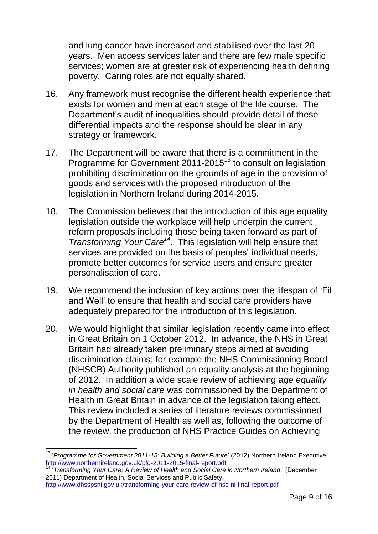and lung cancer have increased and stabilised over the last 20 years. Men access services later and there are few male specific services; women are at greater risk of experiencing health defining poverty. Caring roles are not equally shared.

- 16. Any framework must recognise the different health experience that exists for women and men at each stage of the life course. The Department's audit of inequalities should provide detail of these differential impacts and the response should be clear in any strategy or framework.
- 17. The Department will be aware that there is a commitment in the Programme for Government 2011-2015<sup>13</sup> to consult on legislation prohibiting discrimination on the grounds of age in the provision of goods and services with the proposed introduction of the legislation in Northern Ireland during 2014-2015.
- 18. The Commission believes that the introduction of this age equality legislation outside the workplace will help underpin the current reform proposals including those being taken forward as part of *Transforming Your Care<sup>14</sup>*. This legislation will help ensure that services are provided on the basis of peoples' individual needs, promote better outcomes for service users and ensure greater personalisation of care.
- 19. We recommend the inclusion of key actions over the lifespan of "Fit and Well" to ensure that health and social care providers have adequately prepared for the introduction of this legislation.
- 20. We would highlight that similar legislation recently came into effect in Great Britain on 1 October 2012. In advance, the NHS in Great Britain had already taken preliminary steps aimed at avoiding discrimination claims; for example the NHS Commissioning Board (NHSCB) Authority published an equality analysis at the beginning of 2012. In addition a wide scale review of achieving a*ge equality in health and social care* was commissioned by the Department of Health in Great Britain in advance of the legislation taking effect. This review included a series of literature reviews commissioned by the Department of Health as well as, following the outcome of the review, the production of NHS Practice Guides on Achieving

**.** 

<sup>&</sup>lt;sup>13</sup> 'Programme for Government 2011-15: Building a Better Future' (2012) Northern Ireland Executive. <http://www.northernireland.gov.uk/pfg-2011-2015-final-report.pdf>

<sup>14</sup> "*Transforming Your Care: A Review of Health and Social Care in Northern Ireland*." (December 2011) Department of Health, Social Services and Public Safety <http://www.dhsspsni.gov.uk/transforming-your-care-review-of-hsc-ni-final-report.pdf>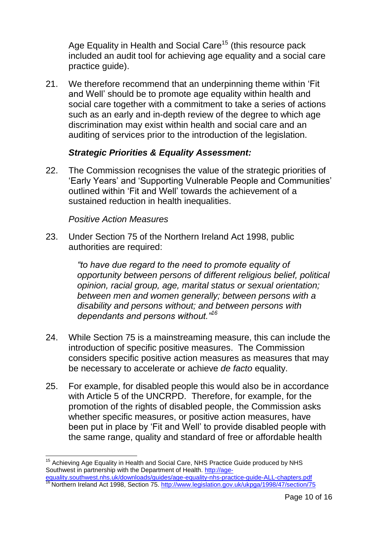Age Equality in Health and Social Care<sup>15</sup> (this resource pack included an audit tool for achieving age equality and a social care practice quide).

21. We therefore recommend that an underpinning theme within "Fit and Well" should be to promote age equality within health and social care together with a commitment to take a series of actions such as an early and in-depth review of the degree to which age discrimination may exist within health and social care and an auditing of services prior to the introduction of the legislation.

# *Strategic Priorities & Equality Assessment:*

22. The Commission recognises the value of the strategic priorities of "Early Years" and "Supporting Vulnerable People and Communities" outlined within "Fit and Well" towards the achievement of a sustained reduction in health inequalities.

## *Positive Action Measures*

23. Under Section 75 of the Northern Ireland Act 1998, public authorities are required:

> *"to have due regard to the need to promote equality of opportunity between persons of different religious belief, political opinion, racial group, age, marital status or sexual orientation; between men and women generally; between persons with a disability and persons without; and between persons with dependants and persons without."<sup>16</sup>*

- 24. While Section 75 is a mainstreaming measure, this can include the introduction of specific positive measures. The Commission considers specific positive action measures as measures that may be necessary to accelerate or achieve *de facto* equality.
- 25. For example, for disabled people this would also be in accordance with Article 5 of the UNCRPD. Therefore, for example, for the promotion of the rights of disabled people, the Commission asks whether specific measures, or positive action measures, have been put in place by "Fit and Well" to provide disabled people with the same range, quality and standard of free or affordable health

**<sup>.</sup>** <sup>15</sup> Achieving Age Equality in Health and Social Care, NHS Practice Guide produced by NHS Southwest in partnership with the Department of Health. [http://age-](http://age-equality.southwest.nhs.uk/downloads/guides/age-equality-nhs-practice-guide-ALL-chapters.pdf)

[equality.southwest.nhs.uk/downloads/guides/age-equality-nhs-practice-guide-ALL-chapters.pdf](http://age-equality.southwest.nhs.uk/downloads/guides/age-equality-nhs-practice-guide-ALL-chapters.pdf) <sup>16</sup> Northern Ireland Act 1998, Section 75.<http://www.legislation.gov.uk/ukpga/1998/47/section/75>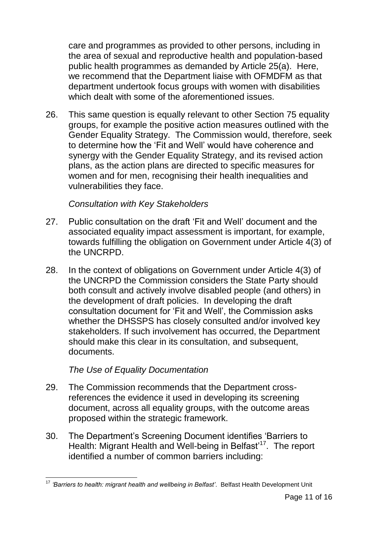care and programmes as provided to other persons, including in the area of sexual and reproductive health and population-based public health programmes as demanded by Article 25(a). Here, we recommend that the Department liaise with OFMDFM as that department undertook focus groups with women with disabilities which dealt with some of the aforementioned issues.

26. This same question is equally relevant to other Section 75 equality groups, for example the positive action measures outlined with the Gender Equality Strategy. The Commission would, therefore, seek to determine how the "Fit and Well" would have coherence and synergy with the Gender Equality Strategy, and its revised action plans, as the action plans are directed to specific measures for women and for men, recognising their health inequalities and vulnerabilities they face.

## *Consultation with Key Stakeholders*

- 27. Public consultation on the draft "Fit and Well" document and the associated equality impact assessment is important, for example, towards fulfilling the obligation on Government under Article 4(3) of the UNCRPD.
- 28. In the context of obligations on Government under Article 4(3) of the UNCRPD the Commission considers the State Party should both consult and actively involve disabled people (and others) in the development of draft policies. In developing the draft consultation document for "Fit and Well", the Commission asks whether the DHSSPS has closely consulted and/or involved key stakeholders. If such involvement has occurred, the Department should make this clear in its consultation, and subsequent, documents.

## *The Use of Equality Documentation*

- 29. The Commission recommends that the Department crossreferences the evidence it used in developing its screening document, across all equality groups, with the outcome areas proposed within the strategic framework.
- 30. The Department"s Screening Document identifies "Barriers to Health: Migrant Health and Well-being in Belfast"<sup>17</sup>. The report identified a number of common barriers including:

 $\overline{\phantom{a}}$ <sup>17</sup> 'Barriers to health: migrant health and wellbeing in Belfast'. Belfast Health Development Unit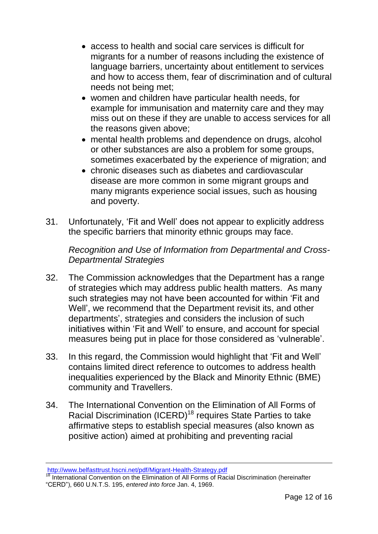- access to health and social care services is difficult for migrants for a number of reasons including the existence of language barriers, uncertainty about entitlement to services and how to access them, fear of discrimination and of cultural needs not being met;
- women and children have particular health needs, for example for immunisation and maternity care and they may miss out on these if they are unable to access services for all the reasons given above;
- mental health problems and dependence on drugs, alcohol or other substances are also a problem for some groups, sometimes exacerbated by the experience of migration; and
- chronic diseases such as diabetes and cardiovascular disease are more common in some migrant groups and many migrants experience social issues, such as housing and poverty.
- 31. Unfortunately, "Fit and Well" does not appear to explicitly address the specific barriers that minority ethnic groups may face.

*Recognition and Use of Information from Departmental and Cross-Departmental Strategies*

- 32. The Commission acknowledges that the Department has a range of strategies which may address public health matters. As many such strategies may not have been accounted for within "Fit and Well", we recommend that the Department revisit its, and other departments", strategies and considers the inclusion of such initiatives within "Fit and Well" to ensure, and account for special measures being put in place for those considered as "vulnerable".
- 33. In this regard, the Commission would highlight that "Fit and Well" contains limited direct reference to outcomes to address health inequalities experienced by the Black and Minority Ethnic (BME) community and Travellers.
- 34. The International Convention on the Elimination of All Forms of Racial Discrimination (ICERD)<sup>18</sup> requires State Parties to take affirmative steps to establish special measures (also known as positive action) aimed at prohibiting and preventing racial

<sup>1</sup> <http://www.belfasttrust.hscni.net/pdf/Migrant-Health-Strategy.pdf>

<sup>&</sup>lt;sup>18</sup> International Convention on the Elimination of All Forms of Racial Discrimination (hereinafter "CERD"), 660 U.N.T.S. 195, *entered into force* Jan. 4, 1969.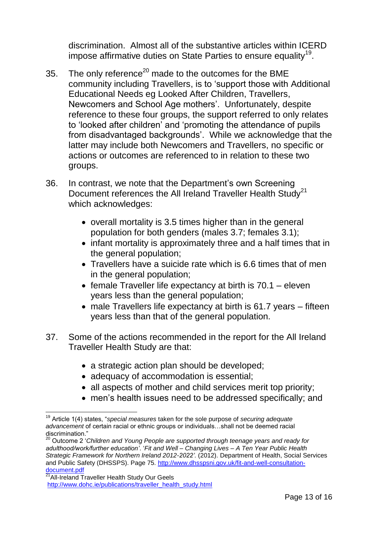discrimination. Almost all of the substantive articles within ICERD impose affirmative duties on State Parties to ensure equality<sup>19</sup>.

- 35. The only reference<sup>20</sup> made to the outcomes for the BME community including Travellers, is to "support those with Additional Educational Needs eg Looked After Children, Travellers, Newcomers and School Age mothers'. Unfortunately, despite reference to these four groups, the support referred to only relates to "looked after children" and "promoting the attendance of pupils from disadvantaged backgrounds'. While we acknowledge that the latter may include both Newcomers and Travellers, no specific or actions or outcomes are referenced to in relation to these two groups.
- 36. In contrast, we note that the Department"s own Screening Document references the All Ireland Traveller Health Study<sup>21</sup> which acknowledges:
	- overall mortality is 3.5 times higher than in the general population for both genders (males 3.7; females 3.1);
	- infant mortality is approximately three and a half times that in the general population:
	- Travellers have a suicide rate which is 6.6 times that of men in the general population;
	- $\bullet$  female Traveller life expectancy at birth is 70.1 eleven years less than the general population;
	- male Travellers life expectancy at birth is 61.7 years fifteen years less than that of the general population.
- 37. Some of the actions recommended in the report for the All Ireland Traveller Health Study are that:
	- a strategic action plan should be developed;
	- adequacy of accommodation is essential;
	- all aspects of mother and child services merit top priority;
	- men"s health issues need to be addressed specifically; and

 $\overline{\phantom{a}}$ <sup>19</sup> Article 1(4) states, "*special measures* taken for the sole purpose of *securing adequate advancement* of certain racial or ethnic groups or individuals…shall not be deemed racial discrimination."

<sup>&</sup>lt;sup>20</sup> Outcome 2 'Children and Young People are supported through teenage years and ready for *adulthood/work/further education"*. "*Fit and Well – Changing Lives – A Ten Year Public Health Strategic Framework for Northern Ireland 2012-2022".* (2012). Department of Health, Social Services and Public Safety (DHSSPS). Page 75. [http://www.dhsspsni.gov.uk/fit-and-well-consultation](http://www.dhsspsni.gov.uk/fit-and-well-consultation-document.pdf)[document.pdf](http://www.dhsspsni.gov.uk/fit-and-well-consultation-document.pdf)

**Product Health Study Our Geels**<br><sup>21</sup>All-Ireland Traveller Health Study Our Geels [http://www.dohc.ie/publications/traveller\\_health\\_study.html](http://www.dohc.ie/publications/traveller_health_study.html)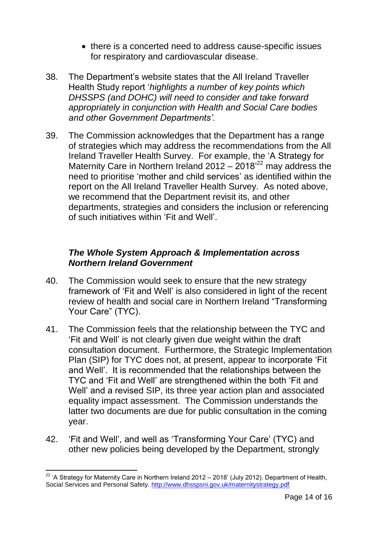- there is a concerted need to address cause-specific issues for respiratory and cardiovascular disease.
- 38. The Department"s website states that the All Ireland Traveller Health Study report "*highlights a number of key points which DHSSPS (and DOHC) will need to consider and take forward appropriately in conjunction with Health and Social Care bodies and other Government Departments".*
- 39. The Commission acknowledges that the Department has a range of strategies which may address the recommendations from the All Ireland Traveller Health Survey. For example, the "A Strategy for Maternity Care in Northern Ireland 2012 – 2018<sup> $22$ </sup> may address the need to prioritise 'mother and child services' as identified within the report on the All Ireland Traveller Health Survey. As noted above, we recommend that the Department revisit its, and other departments, strategies and considers the inclusion or referencing of such initiatives within "Fit and Well".

## *The Whole System Approach & Implementation across Northern Ireland Government*

- 40. The Commission would seek to ensure that the new strategy framework of "Fit and Well" is also considered in light of the recent review of health and social care in Northern Ireland "Transforming Your Care" (TYC).
- 41. The Commission feels that the relationship between the TYC and "Fit and Well" is not clearly given due weight within the draft consultation document. Furthermore, the Strategic Implementation Plan (SIP) for TYC does not, at present, appear to incorporate "Fit and Well". It is recommended that the relationships between the TYC and "Fit and Well" are strengthened within the both "Fit and Well" and a revised SIP, its three year action plan and associated equality impact assessment. The Commission understands the latter two documents are due for public consultation in the coming year.
- 42. 'Fit and Well', and well as 'Transforming Your Care' (TYC) and other new policies being developed by the Department, strongly

**<sup>.</sup>** <sup>22</sup> 'A Strategy for Maternity Care in Northern Ireland 2012 – 2018' (July 2012). Department of Health, Social Services and Personal Safety.<http://www.dhsspsni.gov.uk/maternitystrategy.pdf>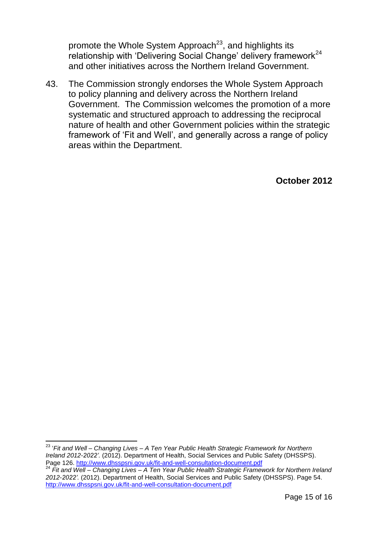promote the Whole System Approach<sup>23</sup>, and highlights its relationship with 'Delivering Social Change' delivery framework<sup>24</sup> and other initiatives across the Northern Ireland Government.

43. The Commission strongly endorses the Whole System Approach to policy planning and delivery across the Northern Ireland Government. The Commission welcomes the promotion of a more systematic and structured approach to addressing the reciprocal nature of health and other Government policies within the strategic framework of "Fit and Well", and generally across a range of policy areas within the Department.

**October 2012**

 $\overline{\phantom{a}}$ 

<sup>23</sup> "*Fit and Well – Changing Lives – A Ten Year Public Health Strategic Framework for Northern Ireland 2012-2022".* (2012). Department of Health, Social Services and Public Safety (DHSSPS). Page 126.<http://www.dhsspsni.gov.uk/fit-and-well-consultation-document.pdf>

<sup>24</sup> *Fit and Well – Changing Lives – A Ten Year Public Health Strategic Framework for Northern Ireland 2012-2022".* (2012). Department of Health, Social Services and Public Safety (DHSSPS). Page 54. <http://www.dhsspsni.gov.uk/fit-and-well-consultation-document.pdf>